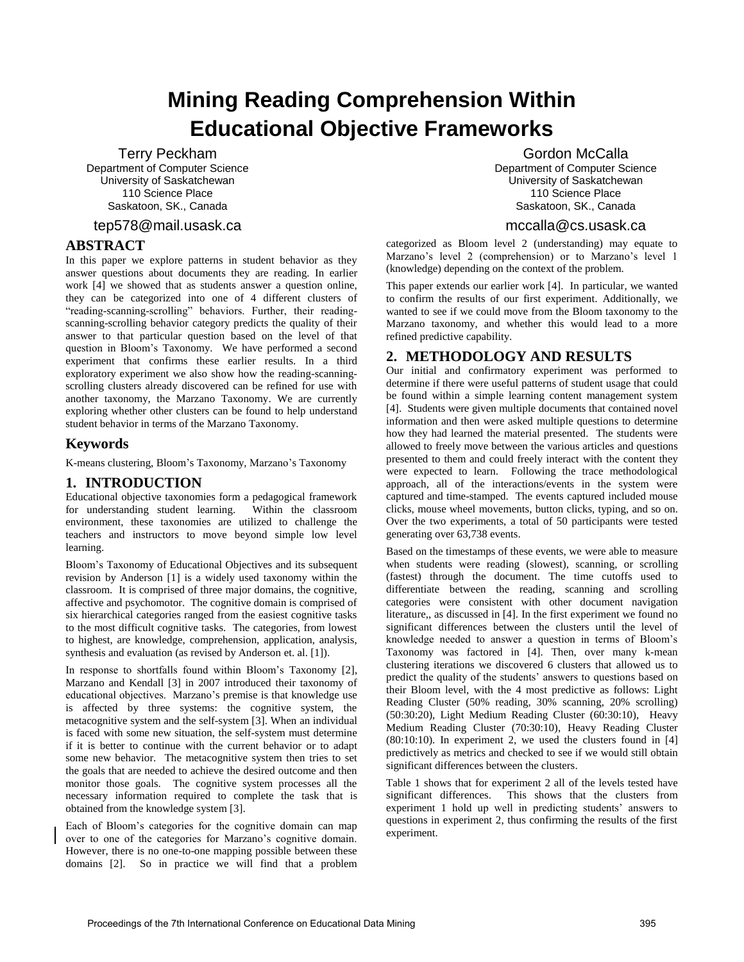# **Mining Reading Comprehension Within Educational Objective Frameworks**

Terry Peckham Department of Computer Science University of Saskatchewan 110 Science Place Saskatoon, SK., Canada

### tep578@mail.usask.ca

## **ABSTRACT**

In this paper we explore patterns in student behavior as they answer questions about documents they are reading. In earlier work [4] we showed that as students answer a question online, they can be categorized into one of 4 different clusters of "reading-scanning-scrolling" behaviors. Further, their readingscanning-scrolling behavior category predicts the quality of their answer to that particular question based on the level of that question in Bloom's Taxonomy. We have performed a second experiment that confirms these earlier results. In a third exploratory experiment we also show how the reading-scanningscrolling clusters already discovered can be refined for use with another taxonomy, the Marzano Taxonomy. We are currently exploring whether other clusters can be found to help understand student behavior in terms of the Marzano Taxonomy.

## **Keywords**

K-means clustering, Bloom's Taxonomy, Marzano's Taxonomy

# **1. INTRODUCTION**

Educational objective taxonomies form a pedagogical framework for understanding student learning. Within the classroom environment, these taxonomies are utilized to challenge the teachers and instructors to move beyond simple low level learning.

Bloom's Taxonomy of Educational Objectives and its subsequent revision by Anderson [1] is a widely used taxonomy within the classroom. It is comprised of three major domains, the cognitive, affective and psychomotor. The cognitive domain is comprised of six hierarchical categories ranged from the easiest cognitive tasks to the most difficult cognitive tasks. The categories, from lowest to highest, are knowledge, comprehension, application, analysis, synthesis and evaluation (as revised by Anderson et. al. [1]).

In response to shortfalls found within Bloom's Taxonomy [2], Marzano and Kendall [3] in 2007 introduced their taxonomy of educational objectives. Marzano's premise is that knowledge use is affected by three systems: the cognitive system, the metacognitive system and the self-system [3]. When an individual is faced with some new situation, the self-system must determine if it is better to continue with the current behavior or to adapt some new behavior. The metacognitive system then tries to set the goals that are needed to achieve the desired outcome and then monitor those goals. The cognitive system processes all the necessary information required to complete the task that is obtained from the knowledge system [3].

Each of Bloom's categories for the cognitive domain can map over to one of the categories for Marzano's cognitive domain. However, there is no one-to-one mapping possible between these domains [2]. So in practice we will find that a problem

Gordon McCalla Department of Computer Science University of Saskatchewan 110 Science Place Saskatoon, SK., Canada

## mccalla@cs.usask.ca

categorized as Bloom level 2 (understanding) may equate to Marzano's level 2 (comprehension) or to Marzano's level 1 (knowledge) depending on the context of the problem.

This paper extends our earlier work [4]. In particular, we wanted to confirm the results of our first experiment. Additionally, we wanted to see if we could move from the Bloom taxonomy to the Marzano taxonomy, and whether this would lead to a more refined predictive capability.

# **2. METHODOLOGY AND RESULTS**

Our initial and confirmatory experiment was performed to determine if there were useful patterns of student usage that could be found within a simple learning content management system [4]. Students were given multiple documents that contained novel information and then were asked multiple questions to determine how they had learned the material presented. The students were allowed to freely move between the various articles and questions presented to them and could freely interact with the content they were expected to learn. Following the trace methodological approach, all of the interactions/events in the system were captured and time-stamped. The events captured included mouse clicks, mouse wheel movements, button clicks, typing, and so on. Over the two experiments, a total of 50 participants were tested generating over 63,738 events.

Based on the timestamps of these events, we were able to measure when students were reading (slowest), scanning, or scrolling (fastest) through the document. The time cutoffs used to differentiate between the reading, scanning and scrolling categories were consistent with other document navigation literature,, as discussed in [4]. In the first experiment we found no significant differences between the clusters until the level of knowledge needed to answer a question in terms of Bloom's Taxonomy was factored in [4]. Then, over many k-mean clustering iterations we discovered 6 clusters that allowed us to predict the quality of the students' answers to questions based on their Bloom level, with the 4 most predictive as follows: Light Reading Cluster (50% reading, 30% scanning, 20% scrolling) (50:30:20), Light Medium Reading Cluster (60:30:10), Heavy Medium Reading Cluster (70:30:10), Heavy Reading Cluster (80:10:10). In experiment 2, we used the clusters found in [4] predictively as metrics and checked to see if we would still obtain significant differences between the clusters.

Table 1 shows that for experiment 2 all of the levels tested have significant differences. This shows that the clusters from experiment 1 hold up well in predicting students' answers to questions in experiment 2, thus confirming the results of the first experiment.